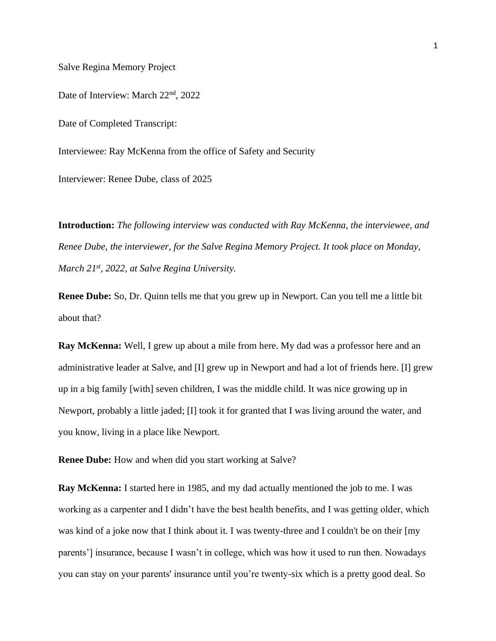Salve Regina Memory Project

Date of Interview: March 22<sup>nd</sup>, 2022

Date of Completed Transcript:

Interviewee: Ray McKenna from the office of Safety and Security

Interviewer: Renee Dube, class of 2025

**Introduction:** *The following interview was conducted with Ray McKenna, the interviewee, and Renee Dube, the interviewer, for the Salve Regina Memory Project. It took place on Monday, March 21st, 2022, at Salve Regina University.*

**Renee Dube:** So, Dr. Quinn tells me that you grew up in Newport. Can you tell me a little bit about that?

**Ray McKenna:** Well, I grew up about a mile from here. My dad was a professor here and an administrative leader at Salve, and [I] grew up in Newport and had a lot of friends here. [I] grew up in a big family [with] seven children, I was the middle child. It was nice growing up in Newport, probably a little jaded; [I] took it for granted that I was living around the water, and you know, living in a place like Newport.

**Renee Dube:** How and when did you start working at Salve?

**Ray McKenna:** I started here in 1985, and my dad actually mentioned the job to me. I was working as a carpenter and I didn't have the best health benefits, and I was getting older, which was kind of a joke now that I think about it. I was twenty-three and I couldn't be on their [my parents'] insurance, because I wasn't in college, which was how it used to run then. Nowadays you can stay on your parents' insurance until you're twenty-six which is a pretty good deal. So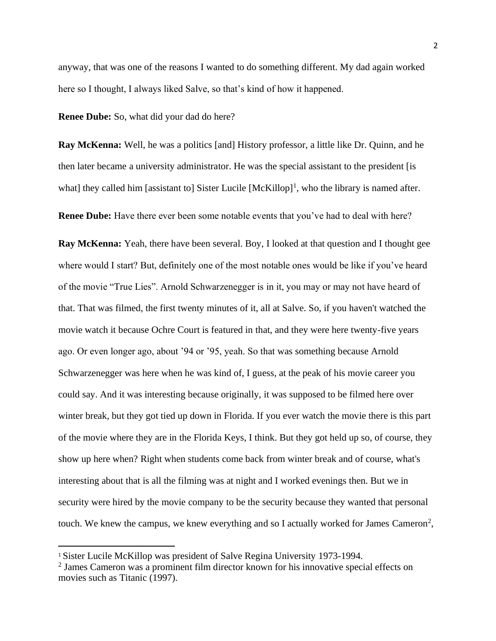anyway, that was one of the reasons I wanted to do something different. My dad again worked here so I thought, I always liked Salve, so that's kind of how it happened.

**Renee Dube:** So, what did your dad do here?

**Ray McKenna:** Well, he was a politics [and] History professor, a little like Dr. Quinn, and he then later became a university administrator. He was the special assistant to the president [is what] they called him [assistant to] Sister Lucile  $[McKillop]$ <sup>1</sup>, who the library is named after.

**Renee Dube:** Have there ever been some notable events that you've had to deal with here?

**Ray McKenna:** Yeah, there have been several. Boy, I looked at that question and I thought gee where would I start? But, definitely one of the most notable ones would be like if you've heard of the movie "True Lies". Arnold Schwarzenegger is in it, you may or may not have heard of that. That was filmed, the first twenty minutes of it, all at Salve. So, if you haven't watched the movie watch it because Ochre Court is featured in that, and they were here twenty-five years ago. Or even longer ago, about '94 or '95, yeah. So that was something because Arnold Schwarzenegger was here when he was kind of, I guess, at the peak of his movie career you could say. And it was interesting because originally, it was supposed to be filmed here over winter break, but they got tied up down in Florida. If you ever watch the movie there is this part of the movie where they are in the Florida Keys, I think. But they got held up so, of course, they show up here when? Right when students come back from winter break and of course, what's interesting about that is all the filming was at night and I worked evenings then. But we in security were hired by the movie company to be the security because they wanted that personal touch. We knew the campus, we knew everything and so I actually worked for James Cameron<sup>2</sup>,

<sup>1</sup> Sister Lucile McKillop was president of Salve Regina University 1973-1994.

<sup>2</sup> James Cameron was a prominent film director known for his innovative special effects on movies such as Titanic (1997).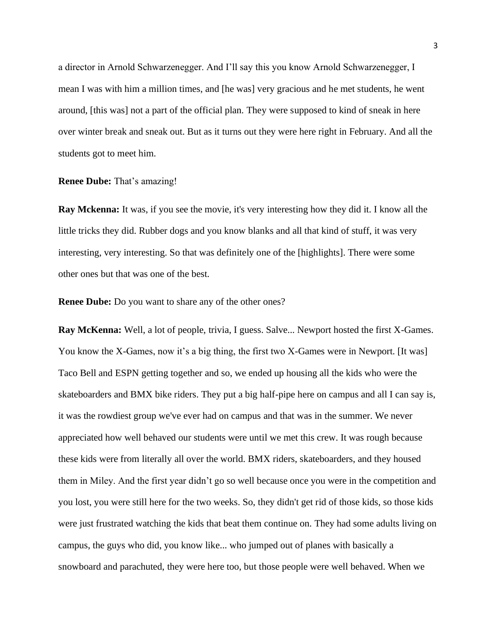a director in Arnold Schwarzenegger. And I'll say this you know Arnold Schwarzenegger, I mean I was with him a million times, and [he was] very gracious and he met students, he went around, [this was] not a part of the official plan. They were supposed to kind of sneak in here over winter break and sneak out. But as it turns out they were here right in February. And all the students got to meet him.

## **Renee Dube:** That's amazing!

**Ray Mckenna:** It was, if you see the movie, it's very interesting how they did it. I know all the little tricks they did. Rubber dogs and you know blanks and all that kind of stuff, it was very interesting, very interesting. So that was definitely one of the [highlights]. There were some other ones but that was one of the best.

**Renee Dube:** Do you want to share any of the other ones?

**Ray McKenna:** Well, a lot of people, trivia, I guess. Salve... Newport hosted the first X-Games. You know the X-Games, now it's a big thing, the first two X-Games were in Newport. [It was] Taco Bell and ESPN getting together and so, we ended up housing all the kids who were the skateboarders and BMX bike riders. They put a big half-pipe here on campus and all I can say is, it was the rowdiest group we've ever had on campus and that was in the summer. We never appreciated how well behaved our students were until we met this crew. It was rough because these kids were from literally all over the world. BMX riders, skateboarders, and they housed them in Miley. And the first year didn't go so well because once you were in the competition and you lost, you were still here for the two weeks. So, they didn't get rid of those kids, so those kids were just frustrated watching the kids that beat them continue on. They had some adults living on campus, the guys who did, you know like... who jumped out of planes with basically a snowboard and parachuted, they were here too, but those people were well behaved. When we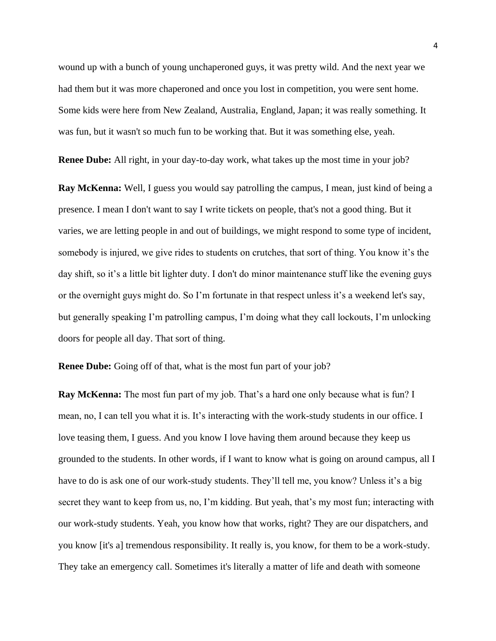wound up with a bunch of young unchaperoned guys, it was pretty wild. And the next year we had them but it was more chaperoned and once you lost in competition, you were sent home. Some kids were here from New Zealand, Australia, England, Japan; it was really something. It was fun, but it wasn't so much fun to be working that. But it was something else, yeah.

**Renee Dube:** All right, in your day-to-day work, what takes up the most time in your job?

**Ray McKenna:** Well, I guess you would say patrolling the campus, I mean, just kind of being a presence. I mean I don't want to say I write tickets on people, that's not a good thing. But it varies, we are letting people in and out of buildings, we might respond to some type of incident, somebody is injured, we give rides to students on crutches, that sort of thing. You know it's the day shift, so it's a little bit lighter duty. I don't do minor maintenance stuff like the evening guys or the overnight guys might do. So I'm fortunate in that respect unless it's a weekend let's say, but generally speaking I'm patrolling campus, I'm doing what they call lockouts, I'm unlocking doors for people all day. That sort of thing.

**Renee Dube:** Going off of that, what is the most fun part of your job?

**Ray McKenna:** The most fun part of my job. That's a hard one only because what is fun? I mean, no, I can tell you what it is. It's interacting with the work-study students in our office. I love teasing them, I guess. And you know I love having them around because they keep us grounded to the students. In other words, if I want to know what is going on around campus, all I have to do is ask one of our work-study students. They'll tell me, you know? Unless it's a big secret they want to keep from us, no, I'm kidding. But yeah, that's my most fun; interacting with our work-study students. Yeah, you know how that works, right? They are our dispatchers, and you know [it's a] tremendous responsibility. It really is, you know, for them to be a work-study. They take an emergency call. Sometimes it's literally a matter of life and death with someone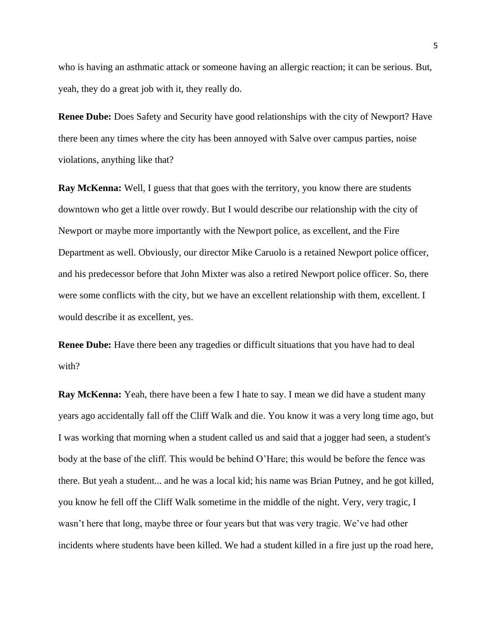who is having an asthmatic attack or someone having an allergic reaction; it can be serious. But, yeah, they do a great job with it, they really do.

**Renee Dube:** Does Safety and Security have good relationships with the city of Newport? Have there been any times where the city has been annoyed with Salve over campus parties, noise violations, anything like that?

**Ray McKenna:** Well, I guess that that goes with the territory, you know there are students downtown who get a little over rowdy. But I would describe our relationship with the city of Newport or maybe more importantly with the Newport police, as excellent, and the Fire Department as well. Obviously, our director Mike Caruolo is a retained Newport police officer, and his predecessor before that John Mixter was also a retired Newport police officer. So, there were some conflicts with the city, but we have an excellent relationship with them, excellent. I would describe it as excellent, yes.

**Renee Dube:** Have there been any tragedies or difficult situations that you have had to deal with?

**Ray McKenna:** Yeah, there have been a few I hate to say. I mean we did have a student many years ago accidentally fall off the Cliff Walk and die. You know it was a very long time ago, but I was working that morning when a student called us and said that a jogger had seen, a student's body at the base of the cliff. This would be behind O'Hare; this would be before the fence was there. But yeah a student... and he was a local kid; his name was Brian Putney, and he got killed, you know he fell off the Cliff Walk sometime in the middle of the night. Very, very tragic, I wasn't here that long, maybe three or four years but that was very tragic. We've had other incidents where students have been killed. We had a student killed in a fire just up the road here,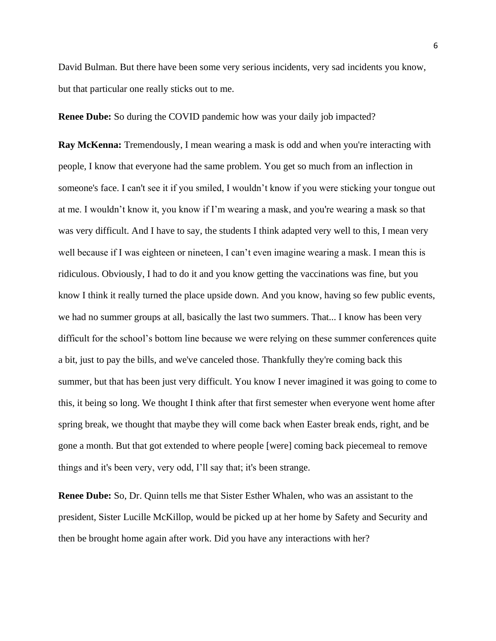David Bulman. But there have been some very serious incidents, very sad incidents you know, but that particular one really sticks out to me.

**Renee Dube:** So during the COVID pandemic how was your daily job impacted?

**Ray McKenna:** Tremendously, I mean wearing a mask is odd and when you're interacting with people, I know that everyone had the same problem. You get so much from an inflection in someone's face. I can't see it if you smiled, I wouldn't know if you were sticking your tongue out at me. I wouldn't know it, you know if I'm wearing a mask, and you're wearing a mask so that was very difficult. And I have to say, the students I think adapted very well to this, I mean very well because if I was eighteen or nineteen, I can't even imagine wearing a mask. I mean this is ridiculous. Obviously, I had to do it and you know getting the vaccinations was fine, but you know I think it really turned the place upside down. And you know, having so few public events, we had no summer groups at all, basically the last two summers. That... I know has been very difficult for the school's bottom line because we were relying on these summer conferences quite a bit, just to pay the bills, and we've canceled those. Thankfully they're coming back this summer, but that has been just very difficult. You know I never imagined it was going to come to this, it being so long. We thought I think after that first semester when everyone went home after spring break, we thought that maybe they will come back when Easter break ends, right, and be gone a month. But that got extended to where people [were] coming back piecemeal to remove things and it's been very, very odd, I'll say that; it's been strange.

**Renee Dube:** So, Dr. Quinn tells me that Sister Esther Whalen, who was an assistant to the president, Sister Lucille McKillop, would be picked up at her home by Safety and Security and then be brought home again after work. Did you have any interactions with her?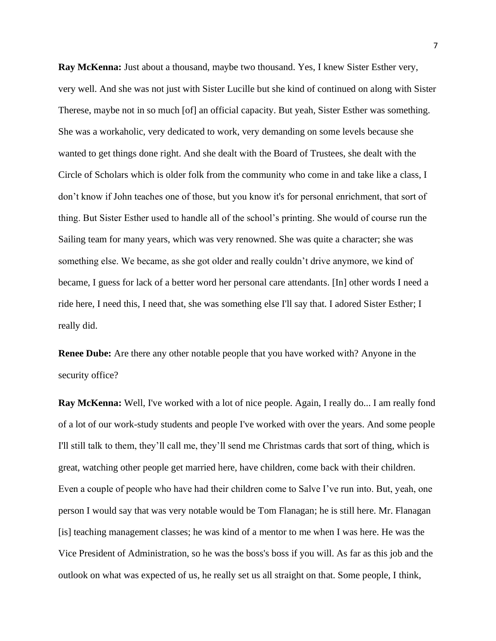**Ray McKenna:** Just about a thousand, maybe two thousand. Yes, I knew Sister Esther very, very well. And she was not just with Sister Lucille but she kind of continued on along with Sister Therese, maybe not in so much [of] an official capacity. But yeah, Sister Esther was something. She was a workaholic, very dedicated to work, very demanding on some levels because she wanted to get things done right. And she dealt with the Board of Trustees, she dealt with the Circle of Scholars which is older folk from the community who come in and take like a class, I don't know if John teaches one of those, but you know it's for personal enrichment, that sort of thing. But Sister Esther used to handle all of the school's printing. She would of course run the Sailing team for many years, which was very renowned. She was quite a character; she was something else. We became, as she got older and really couldn't drive anymore, we kind of became, I guess for lack of a better word her personal care attendants. [In] other words I need a ride here, I need this, I need that, she was something else I'll say that. I adored Sister Esther; I really did.

**Renee Dube:** Are there any other notable people that you have worked with? Anyone in the security office?

**Ray McKenna:** Well, I've worked with a lot of nice people. Again, I really do... I am really fond of a lot of our work-study students and people I've worked with over the years. And some people I'll still talk to them, they'll call me, they'll send me Christmas cards that sort of thing, which is great, watching other people get married here, have children, come back with their children. Even a couple of people who have had their children come to Salve I've run into. But, yeah, one person I would say that was very notable would be Tom Flanagan; he is still here. Mr. Flanagan [is] teaching management classes; he was kind of a mentor to me when I was here. He was the Vice President of Administration, so he was the boss's boss if you will. As far as this job and the outlook on what was expected of us, he really set us all straight on that. Some people, I think,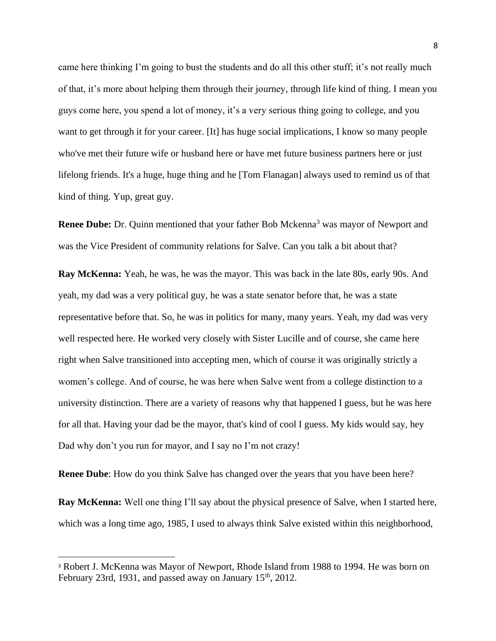came here thinking I'm going to bust the students and do all this other stuff; it's not really much of that, it's more about helping them through their journey, through life kind of thing. I mean you guys come here, you spend a lot of money, it's a very serious thing going to college, and you want to get through it for your career. [It] has huge social implications, I know so many people who've met their future wife or husband here or have met future business partners here or just lifelong friends. It's a huge, huge thing and he [Tom Flanagan] always used to remind us of that kind of thing. Yup, great guy.

**Renee Dube:** Dr. Quinn mentioned that your father Bob Mckenna<sup>3</sup> was mayor of Newport and was the Vice President of community relations for Salve. Can you talk a bit about that?

**Ray McKenna:** Yeah, he was, he was the mayor. This was back in the late 80s, early 90s. And yeah, my dad was a very political guy, he was a state senator before that, he was a state representative before that. So, he was in politics for many, many years. Yeah, my dad was very well respected here. He worked very closely with Sister Lucille and of course, she came here right when Salve transitioned into accepting men, which of course it was originally strictly a women's college. And of course, he was here when Salve went from a college distinction to a university distinction. There are a variety of reasons why that happened I guess, but he was here for all that. Having your dad be the mayor, that's kind of cool I guess. My kids would say, hey Dad why don't you run for mayor, and I say no I'm not crazy!

**Renee Dube**: How do you think Salve has changed over the years that you have been here?

**Ray McKenna:** Well one thing I'll say about the physical presence of Salve, when I started here, which was a long time ago, 1985, I used to always think Salve existed within this neighborhood,

<sup>3</sup> Robert J. McKenna was Mayor of Newport, Rhode Island from 1988 to 1994. He was born on February 23rd, 1931, and passed away on January 15<sup>th</sup>, 2012.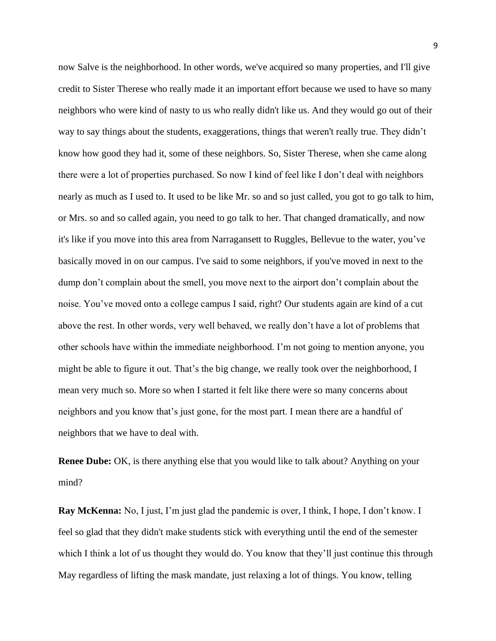now Salve is the neighborhood. In other words, we've acquired so many properties, and I'll give credit to Sister Therese who really made it an important effort because we used to have so many neighbors who were kind of nasty to us who really didn't like us. And they would go out of their way to say things about the students, exaggerations, things that weren't really true. They didn't know how good they had it, some of these neighbors. So, Sister Therese, when she came along there were a lot of properties purchased. So now I kind of feel like I don't deal with neighbors nearly as much as I used to. It used to be like Mr. so and so just called, you got to go talk to him, or Mrs. so and so called again, you need to go talk to her. That changed dramatically, and now it's like if you move into this area from Narragansett to Ruggles, Bellevue to the water, you've basically moved in on our campus. I've said to some neighbors, if you've moved in next to the dump don't complain about the smell, you move next to the airport don't complain about the noise. You've moved onto a college campus I said, right? Our students again are kind of a cut above the rest. In other words, very well behaved, we really don't have a lot of problems that other schools have within the immediate neighborhood. I'm not going to mention anyone, you might be able to figure it out. That's the big change, we really took over the neighborhood, I mean very much so. More so when I started it felt like there were so many concerns about neighbors and you know that's just gone, for the most part. I mean there are a handful of neighbors that we have to deal with.

**Renee Dube:** OK, is there anything else that you would like to talk about? Anything on your mind?

**Ray McKenna:** No, I just, I'm just glad the pandemic is over, I think, I hope, I don't know. I feel so glad that they didn't make students stick with everything until the end of the semester which I think a lot of us thought they would do. You know that they'll just continue this through May regardless of lifting the mask mandate, just relaxing a lot of things. You know, telling